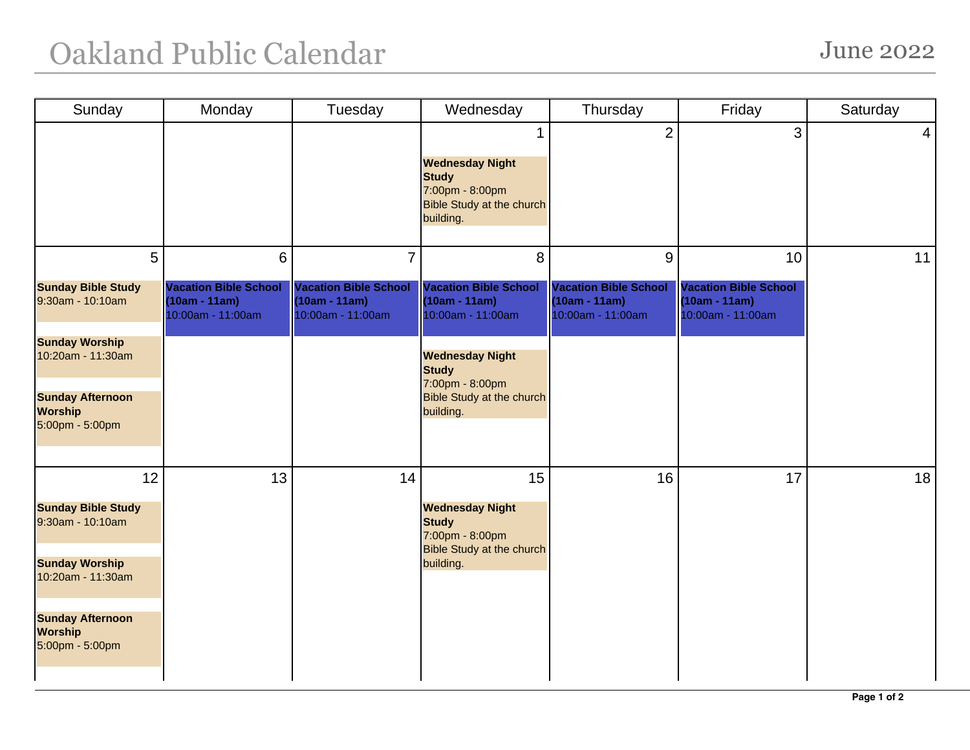## Oakland Public Calendar June 2022

| Sunday                                                                                                                                                            | Monday                                                                                       | Tuesday                                                                   | Wednesday                                                                                                        | Thursday                                                                      | Friday                                                                     | Saturday       |
|-------------------------------------------------------------------------------------------------------------------------------------------------------------------|----------------------------------------------------------------------------------------------|---------------------------------------------------------------------------|------------------------------------------------------------------------------------------------------------------|-------------------------------------------------------------------------------|----------------------------------------------------------------------------|----------------|
|                                                                                                                                                                   |                                                                                              |                                                                           | <b>Wednesday Night</b><br><b>Study</b><br>7:00pm - 8:00pm<br><b>Bible Study at the church</b><br>building.       | $\overline{2}$                                                                | 3                                                                          | $\overline{4}$ |
| <b>Sunday Bible Study</b><br>9:30am - 10:10am                                                                                                                     | $5\overline{)}$<br>6<br><b>Vacation Bible School</b><br>$(10am - 11am)$<br>10:00am - 11:00am | 7<br><b>Vacation Bible School</b><br>$(10am - 11am)$<br>10:00am - 11:00am | 8<br>Vacation Bible School<br>$(10am - 11am)$<br>10:00am - 11:00am                                               | $9\,$<br><b>Vacation Bible School</b><br>$(10am - 11am)$<br>10:00am - 11:00am | 10<br><b>Vacation Bible School</b><br>$(10am - 11am)$<br>10:00am - 11:00am | 11             |
| <b>Sunday Worship</b><br>10:20am - 11:30am<br><b>Sunday Afternoon</b><br><b>Worship</b><br>5:00pm - 5:00pm                                                        |                                                                                              |                                                                           | <b>Wednesday Night</b><br><b>Study</b><br>7:00pm - 8:00pm<br><b>Bible Study at the church</b><br>building.       |                                                                               |                                                                            |                |
| 12<br><b>Sunday Bible Study</b><br>9:30am - 10:10am<br><b>Sunday Worship</b><br>10:20am - 11:30am<br><b>Sunday Afternoon</b><br><b>Worship</b><br>5:00pm - 5:00pm | 13                                                                                           | 14                                                                        | 15<br><b>Wednesday Night</b><br><b>Study</b><br>7:00pm - 8:00pm<br><b>Bible Study at the church</b><br>building. | 16                                                                            | 17                                                                         | 18             |